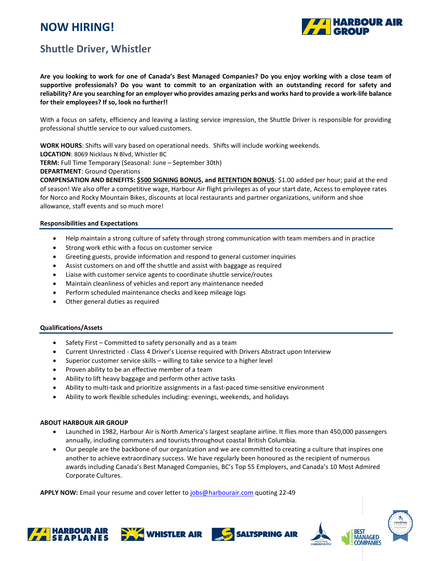# **NOW HIRING!**



### **Shuttle Driver, Whistler**

**Are you looking to work for one of Canada's Best Managed Companies? Do you enjoy working with a close team of supportive professionals? Do you want to commit to an organization with an outstanding record for safety and reliability? Are you searching for an employer who provides amazing perks and works hard to provide a work-life balance for their employees? If so, look no further!!**

With a focus on safety, efficiency and leaving a lasting service impression, the Shuttle Driver is responsible for providing professional shuttle service to our valued customers.

**WORK HOURS**: Shifts will vary based on operational needs. Shifts will include working weekends.

**LOCATION**: 8069 Nicklaus N Blvd, Whistler BC

**TERM:** Full Time Temporary (Seasonal: June – September 30th)

**DEPARTMENT**: Ground Operations

**COMPENSATION AND BENEFITS: \$500 SIGNING BONUS, and RETENTION BONUS**: \$1.00 added per hour; paid at the end of season! We also offer a competitive wage, Harbour Air flight privileges as of your start date, Access to employee rates for Norco and Rocky Mountain Bikes, discounts at local restaurants and partner organizations, uniform and shoe allowance, staff events and so much more!

#### **Responsibilities and Expectations**

- Help maintain a strong culture of safety through strong communication with team members and in practice
- Strong work ethic with a focus on customer service
- Greeting guests, provide information and respond to general customer inquiries
- Assist customers on and off the shuttle and assist with baggage as required
- Liaise with customer service agents to coordinate shuttle service/routes
- Maintain cleanliness of vehicles and report any maintenance needed
- Perform scheduled maintenance checks and keep mileage logs
- Other general duties as required

#### **Qualifications/Assets**

- Safety First Committed to safety personally and as a team
- Current Unrestricted Class 4 Driver's License required with Drivers Abstract upon Interview
- Superior customer service skills willing to take service to a higher level
- Proven ability to be an effective member of a team
- Ability to lift heavy baggage and perform other active tasks
- Ability to multi-task and prioritize assignments in a fast-paced time-sensitive environment
- Ability to work flexible schedules including: evenings, weekends, and holidays

#### **ABOUT HARBOUR AIR GROUP**

- Launched in 1982, Harbour Air is North America's largest seaplane airline. It flies more than 450,000 passengers annually, including commuters and tourists throughout coastal British Columbia.
- Our people are the backbone of our organization and we are committed to creating a culture that inspires one another to achieve extraordinary success. We have regularly been honoured as the recipient of numerous awards including Canada's Best Managed Companies, BC's Top 55 Employers, and Canada's 10 Most Admired Corporate Cultures.

**APPLY NOW:** Email your resume and cover letter t[o jobs@harbourair.com](mailto:jobs@harbourair.com) quoting 22-49